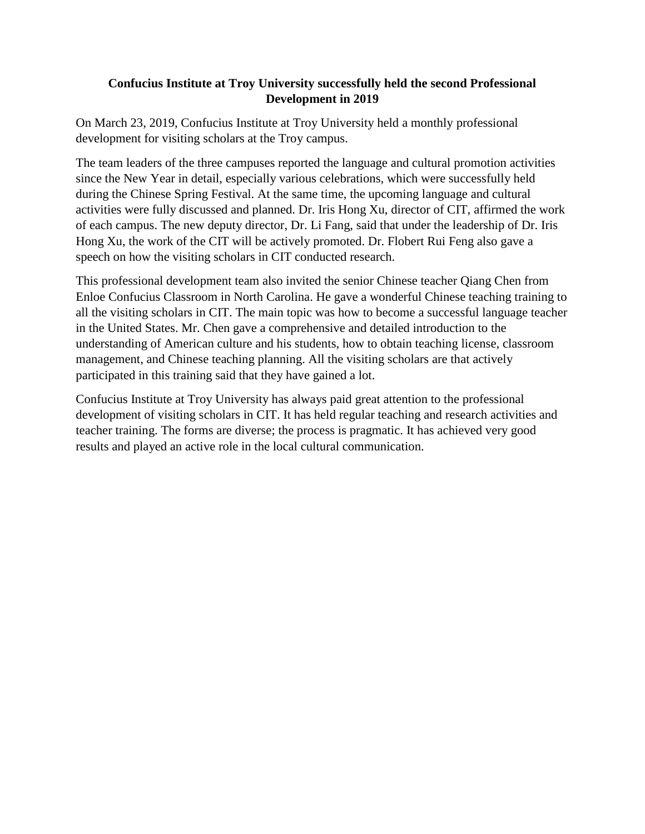## **Confucius Institute at Troy University successfully held the second Professional Development in 2019**

On March 23, 2019, Confucius Institute at Troy University held a monthly professional development for visiting scholars at the Troy campus.

The team leaders of the three campuses reported the language and cultural promotion activities since the New Year in detail, especially various celebrations, which were successfully held during the Chinese Spring Festival. At the same time, the upcoming language and cultural activities were fully discussed and planned. Dr. Iris Hong Xu, director of CIT, affirmed the work of each campus. The new deputy director, Dr. Li Fang, said that under the leadership of Dr. Iris Hong Xu, the work of the CIT will be actively promoted. Dr. Flobert Rui Feng also gave a speech on how the visiting scholars in CIT conducted research.

This professional development team also invited the senior Chinese teacher Qiang Chen from Enloe Confucius Classroom in North Carolina. He gave a wonderful Chinese teaching training to all the visiting scholars in CIT. The main topic was how to become a successful language teacher in the United States. Mr. Chen gave a comprehensive and detailed introduction to the understanding of American culture and his students, how to obtain teaching license, classroom management, and Chinese teaching planning. All the visiting scholars are that actively participated in this training said that they have gained a lot.

Confucius Institute at Troy University has always paid great attention to the professional development of visiting scholars in CIT. It has held regular teaching and research activities and teacher training. The forms are diverse; the process is pragmatic. It has achieved very good results and played an active role in the local cultural communication.